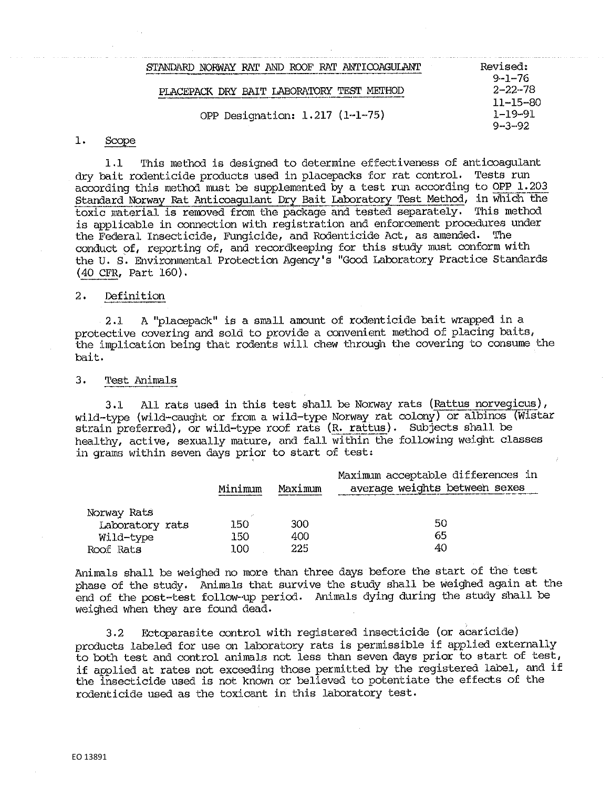| STANDARD NORWAY RAT AND ROOF RAT ANTICOAGULANT | Revised:                      |
|------------------------------------------------|-------------------------------|
| PLACEPACK DRY BAIT LABORATORY TEST METHOD      | $9 - 1 - 76$<br>$2 - 22 - 78$ |
| OPP Designation: 1.217 (1-1-75)                | $11 - 15 - 80$<br>1–19–91     |
|                                                | $9 - 3 - 92$                  |

### 1. Scope

1.1 This method is designed to determine effectiveness of anticoagulant dry bait rodenticide products used in placepacks for rat control. Tests run according this method must be supplemented by a test run according to OPP 1.203 Standard Norway Rat Anticoagulant Dry Bait Laboratory Test Method, in whidh the toxic material is renoved from the package and tested separately, 'rhis method is applicable in connection with registration and enforcement procedures under the Federal Insecticide, Fungicide, and Rodenticide Act, as amended. The conduct 9f, reporting of, and recordkeeping for this study must conform with the U. S. Environmental Protection Agency's "Good Laboratory Practice Standards (40 CFR, Part 160).

# 2. Definition

2.1 A "placepack" is a small amount of rodenticide bait wrapped in a protective covering and sold to provide a convenient method of placing baits, the implication being that rodents will chew through the covering to consume the bait.

### 3. Test Animals

3,1 All rats used in this test shall be Norway rats (Rattus norvegicus), wi.ld-type (wild-caught or from a wild•-type Norway rat colony) or albinos (Wistar strain preferred), or wild-type roof rats (R. rattus). Subjects shall be healthy, active, sexually mature, and fall within the following weight classes in grams within seven days prior to start of test:

|                 | Minimum | Maximum | Maximum acceptable differences in<br>average weights between sexes |
|-----------------|---------|---------|--------------------------------------------------------------------|
| Norway Rats     |         |         |                                                                    |
| Laboratory rats | 150     | 300     | 50                                                                 |
| Wild-type       | 150     | 400     | 65                                                                 |
| Roof Rats       | 100     | 225     | 40                                                                 |

Animals shall be weighed no more than three days before the start of the test phase of the study. Animals that survive the study shall be weighed again at the end of the post-test follow-up period. Animals dying during the study shall be weighed when they are found dead.

3.2 Ectoparasite control with registered insecticide (or acaricide) products labeled for use on laboratory rats is permissible if applied externally to both test and control animals not less than seven days prior to start of test, if applied at rates not exceeding those permitted by the registered label, and if the insecticide used is not known or believed to potentiate the effects of the rodenticide used as the toxicant in this laboratory test.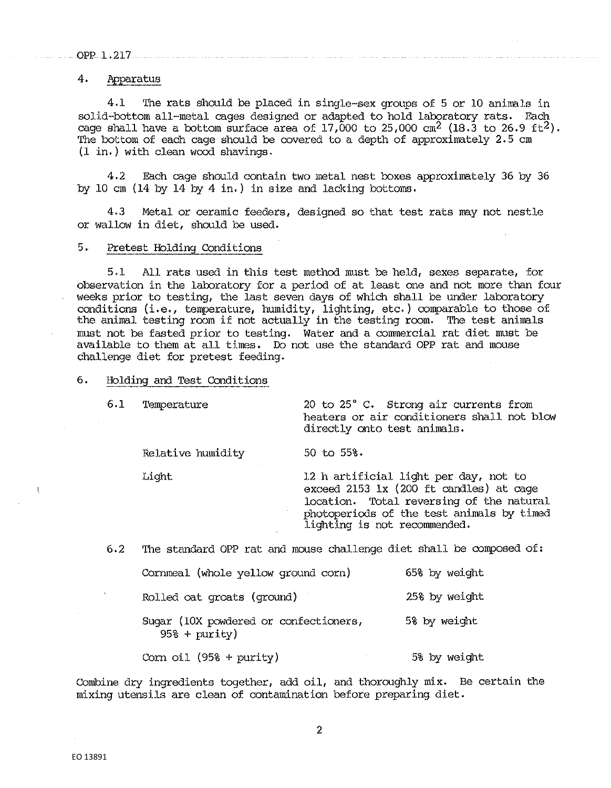OPP 1.217

# 4. Apparatus

4.1 The rats should be placed in single-sex groups of 5 or 10 animals in solid-bottom all-metal cages designed or adapted to hold laboratory rats. Each cage shall have a bottom surface area of  $17,000$  to  $25,000$  cm<sup>2</sup> (18.3 to  $26.9$  ft<sup>2</sup>). The bottom of each cage should be covered to a depth of approximately 2.5 cm (1 in,) with clean wood shavings.

4,2 Each cage should contain two metal nest boxes approximately 36 by 36 by 10 cm (14 by 14 by 4 in.) in size and lacking bottoms,

4.3 Metal or ceramic feeders, designed so that test rats may not nestle or wallow in diet, should be used,

## 5. Pretest Holding Conditions

5.1 All rats used in this test method must be held, sexes separate, for observation in the laboratory for a period of at least one and not more than four weeks prior to testing, the last seven days of which shall be under laboratory conditions (i.e., temperature, humidity, lighting, etc. ) comparable to those of the animal testing room if not actually in the testing room. The test animals must not be fasted prior to testing. Water and a commercial rat diet must be available to them at all times. Do not use the standard OPP rat and mouse challenge diet for pretest feeding.

6. Holding and Test Conditions

6.1 'l'emperature 20 to 25° c. Strong air currents from heaters or air conditioners shall. not blow directly onto test animals.

Relative humidity 50 to 55%.

Light 1.2 h artificial light per day, not to exceed 2153 lx (200 ft candles) at cage location. Total reversing of the natural photoperiods of the test animals by timed lighting is not recommended.

6.2 The standard OPP rat and mouse challenge diet shall be composed of:

| Cornmeal (whole yellow ground corn)                      | 65% by weight |
|----------------------------------------------------------|---------------|
| Rolled oat groats (ground)                               | 25% by weight |
| Sugar (10X powdered or confectioners,<br>$95\$ + purity) | 5% by weight  |
| Corn oil $(95% + purity)$                                | 5% by weight  |

Combine dry ingredients together, add oil, and thoroughly mix. Be certain the mixing utensils are clean of contamination before preparing diet.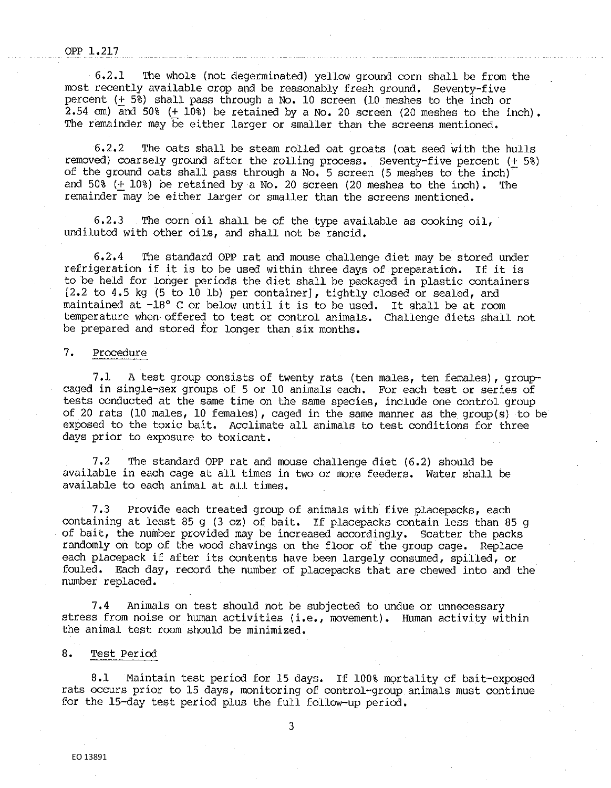#### OPP 1.217

6.2.1 •The whole (not degerminated) yellow ground corn shall be from the most recently available crop and be reasonably fresh ground. Seventy-five percent (+  $5\overline{8}$ ) shall pass through a No. 10 screen (10 meshes to the inch or 2.54 cm) and 50% (+ 10%) be retained by a No. 20 screen (20 meshes to the inch). The remainder may be either larger or smaller than the screens mentioned,

6.2.2 The oats shall be steam rolled oat groats (oat seed with the hulls removed) coarsely ground after the rolling process. Seventy-five percent (+ 5%) of the ground oats shall pass through a No, 5 screen (5 meshes to the inch) and 50% (+ 10%) be retained by a No. 20 screen (20 meshes to the inch), The remainder may be either larger or smaller than the screens mentioned.

6.2.3 The corn oil shall be of the type available as cooking oil, undiluted with other oils, and shall not be rancid.

6.2.4 The standard OPP rat and mouse challenge diet may be stored under<br>geration if it is to be used within three days of preparation. If it is refrigeration if it is to be used within three days of preparation. to be held for longer periods the diet shall be packaged in plastic containers [2.2 to 4.5 kg (5 to 10 lb) per container], tightly closed or sealed, and maintained at -18° C or below until it is to be used. It shall be at room temperature when offered to test or control animals. Challenge diets shall not be prepared and stored for longer than six months.

# 7. Procedure

7,1 A test group consists of twenty rats (ten males, ten females), groupcaged in single-sex groups of 5 or 10 animals each. For each test or series of tests conducted at the same time on the same species, include one control group of 20 rats (10 males, 10 females), caged in the same manner as the group(s) to be exposed to the toxic bait. Acclimate all animals to test conditions for three days prior to exposure to toxicant,

7,2 The standard OPP rat and mouse challenge diet (6,2) should be available in each cage at all times in two or more feeders. Water shall be available to each animal at all times.

7.3 Provide each treated group of animals with five placepacks, each containing at least 85 g (3 oz) of bait. If placepacks contain less than 85 g of bait, the number provided may be increased accordingly. Scatter the packs randomly on top of the wood shavings on the floor of the group cage. Replace each placepack if after its contents have been largely consumed, spilled, or fouled. Each day, record the number of placepacks that are chewed into and the number replaced.

7,4 Animals on test should not be subjected to undue or unnecessary stress from noise or human activities (i.e., movement). Human activity within the animal test room should be minimized.

# 8. Test Period

8,1 Maintain test period for 15 days. If 100% mortality of bait-exposed rats occurs prior to 15 days, monitoring of control-group animals must continue for the 15-day test period plus the full follow-up period.

3